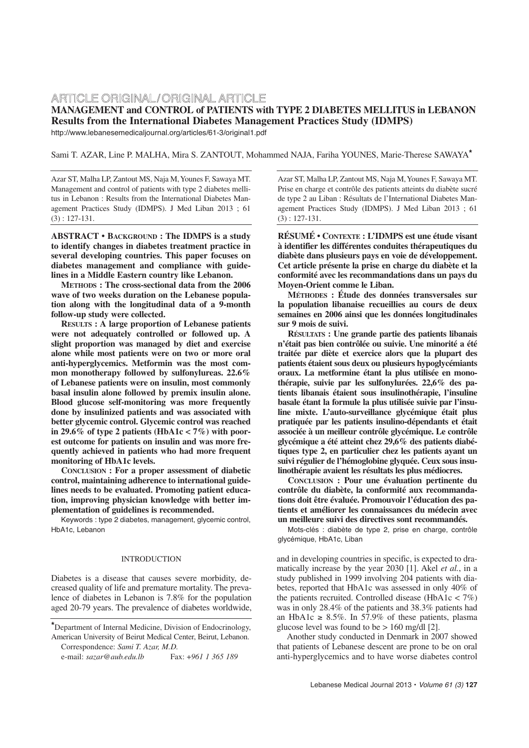# ARTICLE ORIGINAL/ORIGINAL ARTICLE **MANAGEMENT and CONTROL of PATIENTS with TYPE 2 DIABETES MELLITUS in LEBANON Results from the International Diabetes Management Practices Study (IDMPS)**

http://www.lebanesemedicaljournal.org/articles/61-3/original1.pdf

Sami T. AZAR, Line P. MALHA, Mira S. ZANTOUT, Mohammed NAJA, Fariha YOUNES, Marie-Therese SAWAYA**\***

Azar ST, Malha LP, Zantout MS, Naja M,Younes F, Sawaya MT. Management and control of patients with type 2 diabetes mellitus in Lebanon : Results from the International Diabetes Management Practices Study (IDMPS). J Med Liban 2013 ; 61 (3) : 127-131.

**ABSTRACT • BACKGROUND : The IDMPS is a study to identify changes in diabetes treatment practice in several developing countries. This paper focuses on diabetes management and compliance with guidelines in a Middle Eastern country like Lebanon.**

**METHODS : The cross-sectional data from the 2006 wave of two weeks duration on the Lebanese population along with the longitudinal data of a 9-month follow-up study were collected.** 

**RESULTS : A large proportion of Lebanese patients were not adequately controlled or followed up. A slight proportion was managed by diet and exercise alone while most patients were on two or more oral anti-hyperglycemics. Metformin was the most common monotherapy followed by sulfonylureas. 22.6% of Lebanese patients were on insulin, most commonly basal insulin alone followed by premix insulin alone. Blood glucose self-monitoring was more frequently done by insulinized patients and was associated with better glycemic control. Glycemic control was reached** in 29.6% of type 2 patients (HbA1c  $\lt 7\%$ ) with poor**est outcome for patients on insulin and was more frequently achieved in patients who had more frequent monitoring of HbA1c levels.** 

**CONCLUSION : For a proper assessment of diabetic control, maintaining adherence to international guidelines needs to be evaluated. Promoting patient education, improving physician knowledge with better implementation of guidelines is recommended.**

Keywords : type 2 diabetes, management, glycemic control, HbA1c, Lebanon

## INTRODUCTION

Diabetes is a disease that causes severe morbidity, decreased quality of life and premature mortality. The prevalence of diabetes in Lebanon is 7.8% for the population aged 20-79 years. The prevalence of diabetes worldwide,

e-mail: *sazar@aub.edu.lb* Fax: +*961 1 365 189*

Azar ST, Malha LP, Zantout MS, Naja M,Younes F, Sawaya MT. Prise en charge et contrôle des patients atteints du diabète sucré de type 2 au Liban : Résultats de l'International Diabetes Management Practices Study (IDMPS). J Med Liban 2013 ; 61 (3) : 127-131.

**RÉSUMÉ • CONTEXTE : L'IDMPS est une étude visant à identifier les différentes conduites thérapeutiques du diabète dans plusieurs pays en voie de développement. Cet article présente la prise en charge du diabète et la conformité avec les recommandations dans un pays du Moyen-Orient comme le Liban.**

**MÉTHODES : Étude des données transversales sur la population libanaise recueillies au cours de deux semaines en 2006 ainsi que les données longitudinales sur 9 mois de suivi.**

**RÉSULTATS : Une grande partie des patients libanais n'était pas bien contrôlée ou suivie. Une minorité a été traitée par diète et exercice alors que la plupart des patients étaient sous deux ou plusieurs hypoglycémiants oraux. La metformine étant la plus utilisée en monothérapie, suivie par les sulfonylurées. 22,6% des patients libanais étaient sous insulinothérapie, l'insuline basale étant la formule la plus utilisée suivie par l'insuline mixte. L'auto-surveillance glycémique était plus pratiquée par les patients insulino-dépendants et était associée à un meilleur contrôle glycémique. Le contrôle glycémique a été atteint chez 29,6% des patients diabétiques type 2, en particulier chez les patients ayant un suivi régulier de l'hémoglobine glyquée. Ceux sous insulinothérapie avaient les résultats les plus médiocres.** 

**CONCLUSION : Pour une évaluation pertinente du contrôle du diabète, la conformité aux recommandations doit être évaluée. Promouvoir l'éducation des patients et améliorer les connaissances du médecin avec un meilleure suivi des directives sont recommandés.**

Mots-clés : diabète de type 2, prise en charge, contrôle glycémique, HbA1c, Liban

and in developing countries in specific, is expected to dramatically increase by the year 2030 [1]. Akel *et al.*, in a study published in 1999 involving 204 patients with diabetes, reported that HbA1c was assessed in only 40% of the patients recruited. Controlled disease (HbA1c  $\lt$  7%) was in only 28.4% of the patients and 38.3% patients had an HbA1c  $\geq$  8.5%. In 57.9% of these patients, plasma glucose level was found to be  $> 160$  mg/dl [2].

Another study conducted in Denmark in 2007 showed that patients of Lebanese descent are prone to be on oral anti-hyperglycemics and to have worse diabetes control

**<sup>\*</sup>**Department of Internal Medicine, Division of Endocrinology, American University of Beirut Medical Center, Beirut, Lebanon. Correspondence: *Sami T. Azar, M.D.*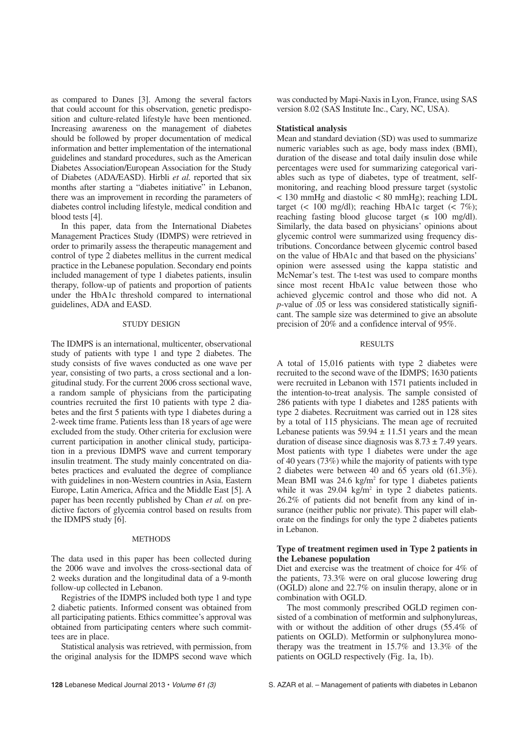as compared to Danes [3]. Among the several factors that could account for this observation, genetic predisposition and culture-related lifestyle have been mentioned. Increasing awareness on the management of diabetes should be followed by proper documentation of medical information and better implementation of the international guidelines and standard procedures, such as the American Diabetes Association/European Association for the Study of Diabetes (ADA/EASD). Hirbli *et al.* reported that six months after starting a "diabetes initiative" in Lebanon, there was an improvement in recording the parameters of diabetes control including lifestyle, medical condition and blood tests [4].

In this paper, data from the International Diabetes Management Practices Study (IDMPS) were retrieved in order to primarily assess the therapeutic management and control of type 2 diabetes mellitus in the current medical practice in the Lebanese population. Secondary end points included management of type 1 diabetes patients, insulin therapy, follow-up of patients and proportion of patients under the HbA1c threshold compared to international guidelines, ADA and EASD.

## STUDY DESIGN

The IDMPS is an international, multicenter, observational study of patients with type 1 and type 2 diabetes. The study consists of five waves conducted as one wave per year, consisting of two parts, a cross sectional and a longitudinal study. For the current 2006 cross sectional wave, a random sample of physicians from the participating countries recruited the first 10 patients with type 2 diabetes and the first 5 patients with type 1 diabetes during a 2-week time frame. Patients less than 18 years of age were excluded from the study. Other criteria for exclusion were current participation in another clinical study, participation in a previous IDMPS wave and current temporary insulin treatment. The study mainly concentrated on diabetes practices and evaluated the degree of compliance with guidelines in non-Western countries in Asia, Eastern Europe, Latin America, Africa and the Middle East [5]. A paper has been recently published by Chan *et al.* on predictive factors of glycemia control based on results from the IDMPS study [6].

## **METHODS**

The data used in this paper has been collected during the 2006 wave and involves the cross-sectional data of 2 weeks duration and the longitudinal data of a 9-month follow-up collected in Lebanon.

Registries of the IDMPS included both type 1 and type 2 diabetic patients. Informed consent was obtained from all participating patients. Ethics committee's approval was obtained from participating centers where such committees are in place.

Statistical analysis was retrieved, with permission, from the original analysis for the IDMPS second wave which was conducted by Mapi-Naxis in Lyon, France, using SAS version 8.02 (SAS Institute Inc., Cary, NC, USA).

#### **Statistical analysis**

Mean and standard deviation (SD) was used to summarize numeric variables such as age, body mass index (BMI), duration of the disease and total daily insulin dose while percentages were used for summarizing categorical variables such as type of diabetes, type of treatment, selfmonitoring, and reaching blood pressure target (systolic < 130 mmHg and diastolic < 80 mmHg); reaching LDL target (< 100 mg/dl); reaching HbA1c target (<  $7\%$ ); reaching fasting blood glucose target ( $\leq 100$  mg/dl). Similarly, the data based on physicians' opinions about glycemic control were summarized using frequency distributions. Concordance between glycemic control based on the value of HbA1c and that based on the physicians' opinion were assessed using the kappa statistic and McNemar's test. The t-test was used to compare months since most recent HbA1c value between those who achieved glycemic control and those who did not. A *p*-value of .05 or less was considered statistically significant. The sample size was determined to give an absolute precision of 20% and a confidence interval of 95%.

# RESULTS

A total of 15,016 patients with type 2 diabetes were recruited to the second wave of the IDMPS; 1630 patients were recruited in Lebanon with 1571 patients included in the intention-to-treat analysis. The sample consisted of 286 patients with type 1 diabetes and 1285 patients with type 2 diabetes. Recruitment was carried out in 128 sites by a total of 115 physicians. The mean age of recruited Lebanese patients was  $59.94 \pm 11.51$  years and the mean duration of disease since diagnosis was  $8.73 \pm 7.49$  years. Most patients with type 1 diabetes were under the age of 40 years (73%) while the majority of patients with type 2 diabetes were between 40 and 65 years old (61.3%). Mean BMI was  $24.6 \text{ kg/m}^2$  for type 1 diabetes patients while it was  $29.04 \text{ kg/m}^2$  in type 2 diabetes patients. 26.2% of patients did not benefit from any kind of insurance (neither public nor private). This paper will elaborate on the findings for only the type 2 diabetes patients in Lebanon.

# **Type of treatment regimen used in Type 2 patients in the Lebanese population**

Diet and exercise was the treatment of choice for 4% of the patients, 73.3% were on oral glucose lowering drug (OGLD) alone and 22.7% on insulin therapy, alone or in combination with OGLD.

The most commonly prescribed OGLD regimen consisted of a combination of metformin and sulphonylureas, with or without the addition of other drugs (55.4% of patients on OGLD). Metformin or sulphonylurea monotherapy was the treatment in 15.7% and 13.3% of the patients on OGLD respectively (Fig. 1a, 1b).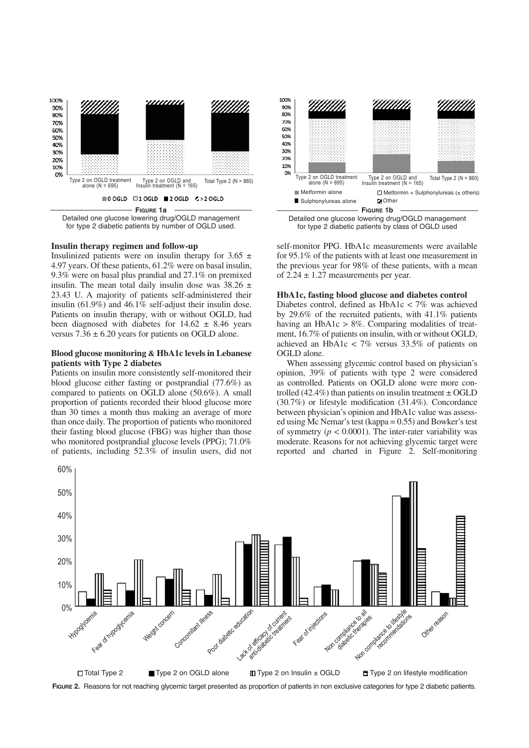

Detailed one glucose lowering drug/OGLD management for type 2 diabetic patients by number of OGLD used.

# **Insulin therapy regimen and follow-up**

Insulinized patients were on insulin therapy for  $3.65 \pm$ 4.97 years. Of these patients, 61.2% were on basal insulin, 9.3% were on basal plus prandial and 27.1% on premixed insulin. The mean total daily insulin dose was  $38.26 \pm$ 23.43 U. A majority of patients self-administered their insulin (61.9%) and 46.1% self-adjust their insulin dose. Patients on insulin therapy, with or without OGLD, had been diagnosed with diabetes for  $14.62 \pm 8.46$  years versus  $7.36 \pm 6.20$  years for patients on OGLD alone.

# **Blood glucose monitoring & HbA1c levels in Lebanese patients with Type 2 diabetes**

Patients on insulin more consistently self-monitored their blood glucose either fasting or postprandial (77.6%) as compared to patients on OGLD alone (50.6%). A small proportion of patients recorded their blood glucose more than 30 times a month thus making an average of more than once daily. The proportion of patients who monitored their fasting blood glucose (FBG) was higher than those who monitored postprandial glucose levels (PPG); 71.0% of patients, including 52.3% of insulin users, did not





self-monitor PPG. HbA1c measurements were available for 95.1% of the patients with at least one measurement in the previous year for 98% of these patients, with a mean of  $2.24 \pm 1.27$  measurements per year.

## **HbA1c, fasting blood glucose and diabetes control**

Diabetes control, defined as HbA1c < 7% was achieved by 29.6% of the recruited patients, with 41.1% patients having an HbA1c > 8%. Comparing modalities of treatment, 16.7% of patients on insulin, with or without OGLD, achieved an HbA1c < 7% versus 33.5% of patients on OGLD alone.

When assessing glycemic control based on physician's opinion, 39% of patients with type 2 were considered as controlled. Patients on OGLD alone were more controlled (42.4%) than patients on insulin treatment  $\pm$  OGLD (30.7%) or lifestyle modification (31.4%). Concordance between physician's opinion and HbA1c value was assessed using Mc Nemar's test (kappa = 0.55) and Bowker's test of symmetry  $(p < 0.0001)$ . The inter-rater variability was moderate. Reasons for not achieving glycemic target were reported and charted in Figure 2. Self-monitoring



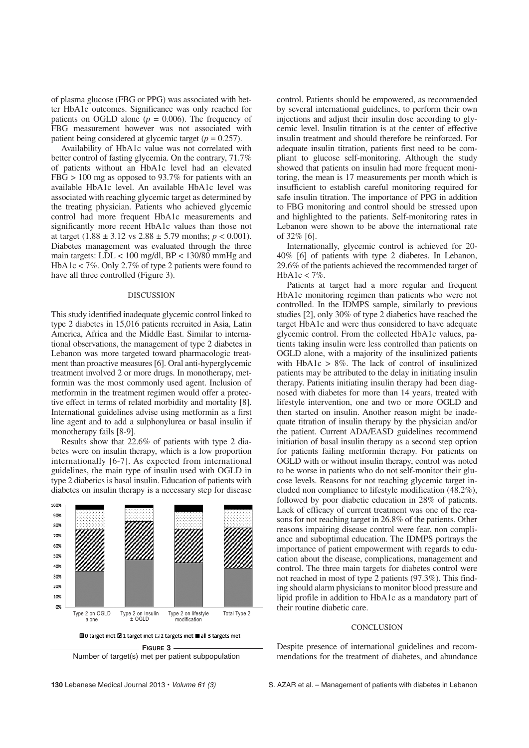of plasma glucose (FBG or PPG) was associated with better HbA1c outcomes. Significance was only reached for patients on OGLD alone  $(p = 0.006)$ . The frequency of FBG measurement however was not associated with patient being considered at glycemic target  $(p = 0.257)$ .

Availability of HbA1c value was not correlated with better control of fasting glycemia. On the contrary, 71.7% of patients without an HbA1c level had an elevated  $FBG > 100$  mg as opposed to 93.7% for patients with an available HbA1c level. An available HbA1c level was associated with reaching glycemic target as determined by the treating physician. Patients who achieved glycemic control had more frequent HbA1c measurements and significantly more recent HbA1c values than those not at target  $(1.88 \pm 3.12 \text{ vs } 2.88 \pm 5.79 \text{ months}; p < 0.001)$ . Diabetes management was evaluated through the three main targets:  $LDL < 100$  mg/dl,  $BP < 130/80$  mmHg and HbA1c < 7%. Only 2.7% of type 2 patients were found to have all three controlled (Figure 3).

#### DISCUSSION

This study identified inadequate glycemic control linked to type 2 diabetes in 15,016 patients recruited in Asia, Latin America, Africa and the Middle East. Similar to international observations, the management of type 2 diabetes in Lebanon was more targeted toward pharmacologic treatment than proactive measures [6]. Oral anti-hyperglycemic treatment involved 2 or more drugs. In monotherapy, metformin was the most commonly used agent. Inclusion of metformin in the treatment regimen would offer a protective effect in terms of related morbidity and mortality [8]. International guidelines advise using metformin as a first line agent and to add a sulphonylurea or basal insulin if monotherapy fails [8-9].

Results show that 22.6% of patients with type 2 diabetes were on insulin therapy, which is a low proportion internationally [6-7]. As expected from international guidelines, the main type of insulin used with OGLD in type 2 diabetics is basal insulin. Education of patients with diabetes on insulin therapy is a necessary step for disease



Number of target(s) met per patient subpopulation

control. Patients should be empowered, as recommended by several international guidelines, to perform their own injections and adjust their insulin dose according to glycemic level. Insulin titration is at the center of effective insulin treatment and should therefore be reinforced. For adequate insulin titration, patients first need to be compliant to glucose self-monitoring. Although the study showed that patients on insulin had more frequent monitoring, the mean is 17 measurements per month which is insufficient to establish careful monitoring required for safe insulin titration. The importance of PPG in addition to FBG monitoring and control should be stressed upon and highlighted to the patients. Self-monitoring rates in Lebanon were shown to be above the international rate of 32% [6].

Internationally, glycemic control is achieved for 20- 40% [6] of patients with type 2 diabetes. In Lebanon, 29.6% of the patients achieved the recommended target of HbA1c <  $7\%$ .

Patients at target had a more regular and frequent HbA1c monitoring regimen than patients who were not controlled. In the IDMPS sample, similarly to previous studies [2], only 30% of type 2 diabetics have reached the target HbA1c and were thus considered to have adequate glycemic control. From the collected HbA1c values, patients taking insulin were less controlled than patients on OGLD alone, with a majority of the insulinized patients with HbA1c > 8%. The lack of control of insulinized patients may be attributed to the delay in initiating insulin therapy. Patients initiating insulin therapy had been diagnosed with diabetes for more than 14 years, treated with lifestyle intervention, one and two or more OGLD and then started on insulin. Another reason might be inadequate titration of insulin therapy by the physician and/or the patient. Current ADA/EASD guidelines recommend initiation of basal insulin therapy as a second step option for patients failing metformin therapy. For patients on OGLD with or without insulin therapy, control was noted to be worse in patients who do not self-monitor their glucose levels. Reasons for not reaching glycemic target included non compliance to lifestyle modification (48.2%), followed by poor diabetic education in 28% of patients. Lack of efficacy of current treatment was one of the reasons for not reaching target in 26.8% of the patients. Other reasons impairing disease control were fear, non compliance and suboptimal education. The IDMPS portrays the importance of patient empowerment with regards to education about the disease, complications, management and control. The three main targets for diabetes control were not reached in most of type 2 patients (97.3%). This finding should alarm physicians to monitor blood pressure and lipid profile in addition to HbA1c as a mandatory part of their routine diabetic care.

## **CONCLUSION**

Despite presence of international guidelines and recommendations for the treatment of diabetes, and abundance